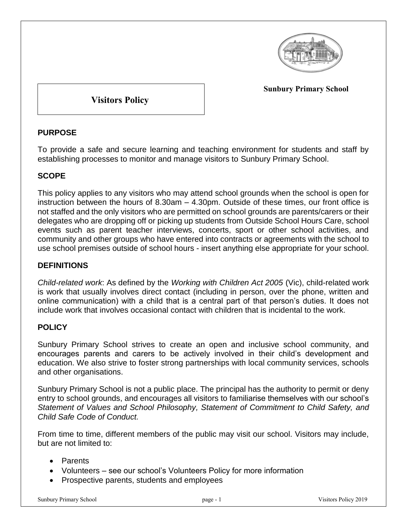

**Sunbury Primary School**

**Visitors Policy**

## **PURPOSE**

To provide a safe and secure learning and teaching environment for students and staff by establishing processes to monitor and manage visitors to Sunbury Primary School.

# **SCOPE**

This policy applies to any visitors who may attend school grounds when the school is open for instruction between the hours of 8.30am – 4.30pm. Outside of these times, our front office is not staffed and the only visitors who are permitted on school grounds are parents/carers or their delegates who are dropping off or picking up students from Outside School Hours Care, school events such as parent teacher interviews, concerts, sport or other school activities, and community and other groups who have entered into contracts or agreements with the school to use school premises outside of school hours - insert anything else appropriate for your school.

## **DEFINITIONS**

*Child-related work*: As defined by the *Working with Children Act 2005* (Vic), child-related work is work that usually involves direct contact (including in person, over the phone, written and online communication) with a child that is a central part of that person's duties. It does not include work that involves occasional contact with children that is incidental to the work.

## **POLICY**

Sunbury Primary School strives to create an open and inclusive school community, and encourages parents and carers to be actively involved in their child's development and education. We also strive to foster strong partnerships with local community services, schools and other organisations.

Sunbury Primary School is not a public place. The principal has the authority to permit or deny entry to school grounds, and encourages all visitors to familiarise themselves with our school's *Statement of Values and School Philosophy, Statement of Commitment to Child Safety, and Child Safe Code of Conduct.*

From time to time, different members of the public may visit our school. Visitors may include, but are not limited to:

- Parents
- Volunteers see our school's Volunteers Policy for more information
- Prospective parents, students and employees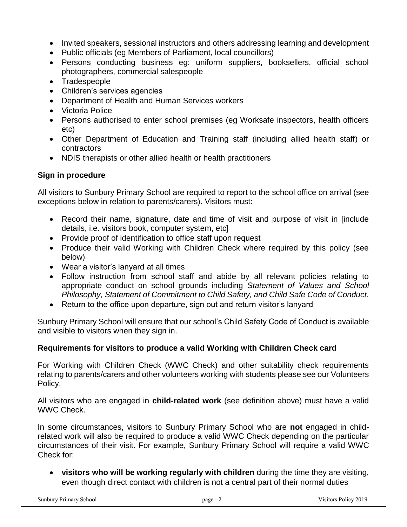- Invited speakers, sessional instructors and others addressing learning and development
- Public officials (eg Members of Parliament, local councillors)
- Persons conducting business eg: uniform suppliers, booksellers, official school photographers, commercial salespeople
- Tradespeople
- Children's services agencies
- Department of Health and Human Services workers
- Victoria Police
- Persons authorised to enter school premises (eg Worksafe inspectors, health officers etc)
- Other Department of Education and Training staff (including allied health staff) or contractors
- NDIS therapists or other allied health or health practitioners

# **Sign in procedure**

All visitors to Sunbury Primary School are required to report to the school office on arrival (see exceptions below in relation to parents/carers). Visitors must:

- Record their name, signature, date and time of visit and purpose of visit in [include details, i.e. visitors book, computer system, etc]
- Provide proof of identification to office staff upon request
- Produce their valid Working with Children Check where required by this policy (see below)
- Wear a visitor's lanyard at all times
- Follow instruction from school staff and abide by all relevant policies relating to appropriate conduct on school grounds including *Statement of Values and School Philosophy, Statement of Commitment to Child Safety, and Child Safe Code of Conduct.*
- Return to the office upon departure, sign out and return visitor's lanyard

Sunbury Primary School will ensure that our school's Child Safety Code of Conduct is available and visible to visitors when they sign in.

## **Requirements for visitors to produce a valid Working with Children Check card**

For Working with Children Check (WWC Check) and other suitability check requirements relating to parents/carers and other volunteers working with students please see our Volunteers Policy.

All visitors who are engaged in **child-related work** (see definition above) must have a valid WWC Check.

In some circumstances, visitors to Sunbury Primary School who are **not** engaged in childrelated work will also be required to produce a valid WWC Check depending on the particular circumstances of their visit. For example, Sunbury Primary School will require a valid WWC Check for:

 **visitors who will be working regularly with children** during the time they are visiting, even though direct contact with children is not a central part of their normal duties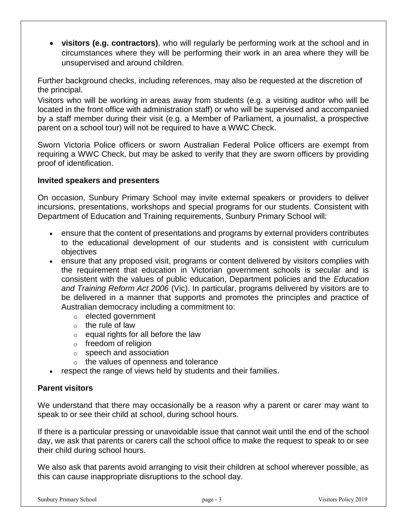**visitors (e.g. contractors)**, who will regularly be performing work at the school and in circumstances where they will be performing their work in an area where they will be unsupervised and around children.

Further background checks, including references, may also be requested at the discretion of the principal.

Visitors who will be working in areas away from students (e.g. a visiting auditor who will be located in the front office with administration staff) or who will be supervised and accompanied by a staff member during their visit (e.g. a Member of Parliament, a journalist, a prospective parent on a school tour) will not be required to have a WWC Check.

Sworn Victoria Police officers or sworn Australian Federal Police officers are exempt from requiring a WWC Check, but may be asked to verify that they are sworn officers by providing proof of identification.

#### **Invited speakers and presenters**

On occasion, Sunbury Primary School may invite external speakers or providers to deliver incursions, presentations, workshops and special programs for our students. Consistent with Department of Education and Training requirements, Sunbury Primary School will:

- ensure that the content of presentations and programs by external providers contributes to the educational development of our students and is consistent with curriculum objectives
- ensure that any proposed visit, programs or content delivered by visitors complies with the requirement that education in Victorian government schools is secular and is consistent with the values of public education, Department policies and the *Education and Training Reform Act 2006* (Vic). In particular, programs delivered by visitors are to be delivered in a manner that supports and promotes the principles and practice of Australian democracy including a commitment to:
	- o elected government
	- $\circ$  the rule of law
	- $\circ$  equal rights for all before the law
	- o freedom of religion
	- o speech and association
	- o the values of openness and tolerance
- respect the range of views held by students and their families.

### **Parent visitors**

We understand that there may occasionally be a reason why a parent or carer may want to speak to or see their child at school, during school hours.

If there is a particular pressing or unavoidable issue that cannot wait until the end of the school day, we ask that parents or carers call the school office to make the request to speak to or see their child during school hours.

We also ask that parents avoid arranging to visit their children at school wherever possible, as this can cause inappropriate disruptions to the school day.